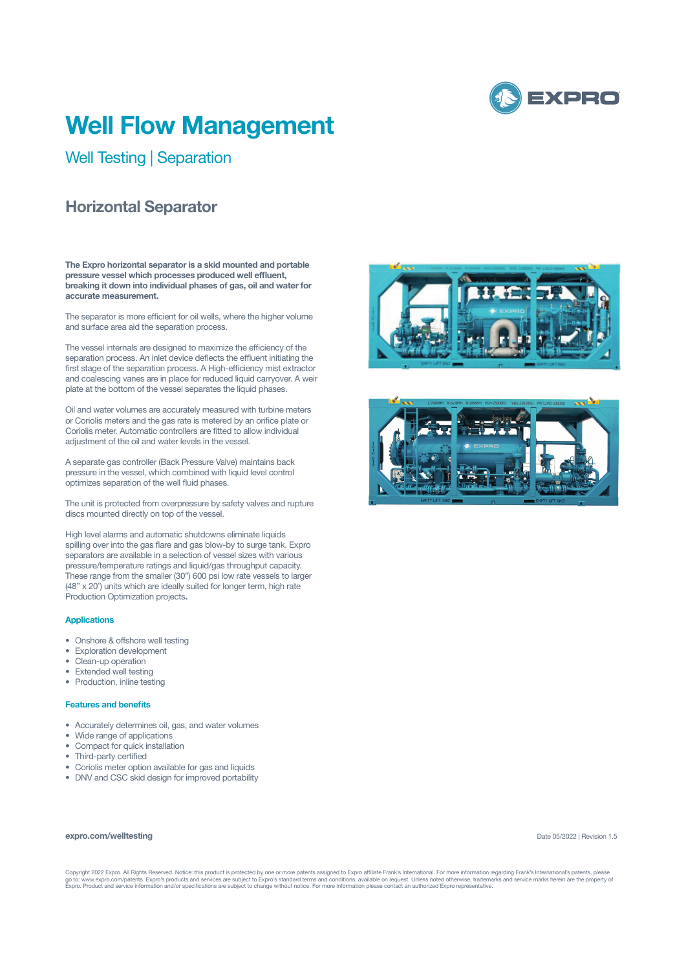

# **Well Flow Management**

Well Testing | Separation

## **Horizontal Separator**

**The Expro horizontal separator is a skid mounted and portable pressure vessel which processes produced well effluent, breaking it down into individual phases of gas, oil and water for accurate measurement.** 

The separator is more efficient for oil wells, where the higher volume and surface area aid the separation process.

The vessel internals are designed to maximize the efficiency of the separation process. An inlet device deflects the effluent initiating the first stage of the separation process. A High-efficiency mist extractor and coalescing vanes are in place for reduced liquid carryover. A weir plate at the bottom of the vessel separates the liquid phases.

Oil and water volumes are accurately measured with turbine meters or Coriolis meters and the gas rate is metered by an orifice plate or Coriolis meter. Automatic controllers are fitted to allow individual adjustment of the oil and water levels in the vessel.

A separate gas controller (Back Pressure Valve) maintains back pressure in the vessel, which combined with liquid level control optimizes separation of the well fluid phases.

The unit is protected from overpressure by safety valves and rupture discs mounted directly on top of the vessel.

High level alarms and automatic shutdowns eliminate liquids spilling over into the gas flare and gas blow-by to surge tank. Expro separators are available in a selection of vessel sizes with various pressure/temperature ratings and liquid/gas throughput capacity. These range from the smaller (30") 600 psi low rate vessels to larger (48" x 20') units which are ideally suited for longer term, high rate Production Optimization projects**.**

#### **Applications**

- Onshore & offshore well testing
- Exploration development
- Clean-up operation
- Extended well testing
- Production, inline testing

### **Features and benefits**

- Accurately determines oil, gas, and water volumes
- Wide range of applications
- Compact for quick installation
- Third-party certified
- Coriolis meter option available for gas and liquids
- DNV and CSC skid design for improved portability

#### **expro.com/welltesting**

Date 05/2022 | Revision 1.5

Copyright 2022 Expro. All Rights Reserved. Notice: this product is protected by one or more patents assigned to Expro affiliate Frank's International. For more information regarding Frank's International's patents, please<br>